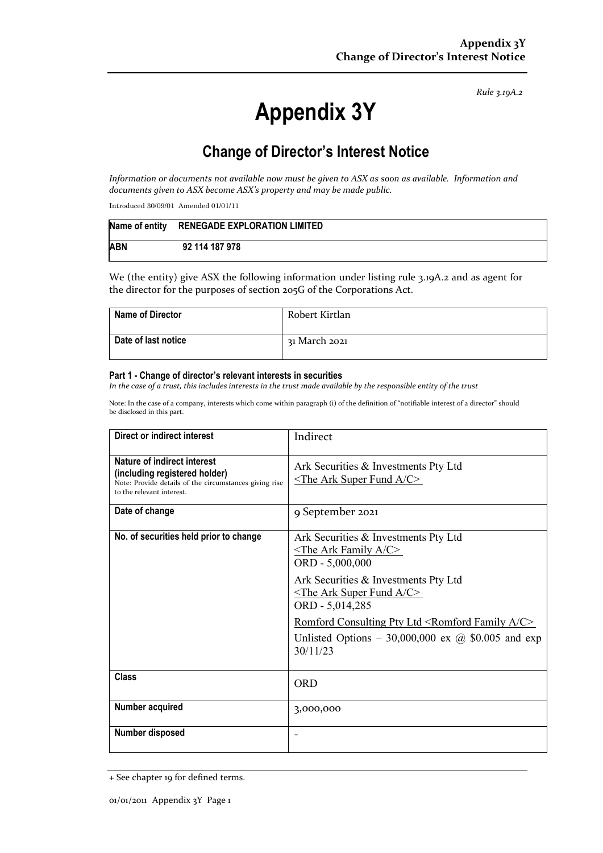*Rule 3.19A.2*

## **Appendix 3Y**

## **Change of Director's Interest Notice**

*Information or documents not available now must be given to ASX as soon as available. Information and documents given to ASX become ASX's property and may be made public.*

Introduced 30/09/01 Amended 01/01/11

|            | Name of entity RENEGADE EXPLORATION LIMITED |
|------------|---------------------------------------------|
| <b>ABN</b> | 92 114 187 978                              |

We (the entity) give ASX the following information under listing rule 3.19A.2 and as agent for the director for the purposes of section 205G of the Corporations Act.

| <b>Name of Director</b> | Robert Kirtlan |
|-------------------------|----------------|
| Date of last notice     | 31 March 2021  |

## **Part 1 - Change of director's relevant interests in securities**

*In the case of a trust, this includes interests in the trust made available by the responsible entity of the trust*

Note: In the case of a company, interests which come within paragraph (i) of the definition of "notifiable interest of a director" should be disclosed in this part.

| Direct or indirect interest                                                                                                                         | Indirect                                                                                                                                                 |  |
|-----------------------------------------------------------------------------------------------------------------------------------------------------|----------------------------------------------------------------------------------------------------------------------------------------------------------|--|
| Nature of indirect interest<br>(including registered holder)<br>Note: Provide details of the circumstances giving rise<br>to the relevant interest. | Ark Securities & Investments Pty Ltd<br>$\le$ The Ark Super Fund A/C>                                                                                    |  |
| Date of change                                                                                                                                      | 9 September 2021                                                                                                                                         |  |
| No. of securities held prior to change                                                                                                              | Ark Securities & Investments Pty Ltd<br>$\leq$ The Ark Family A/C><br>ORD - 5,000,000                                                                    |  |
|                                                                                                                                                     | Ark Securities & Investments Pty Ltd<br>$\leq$ The Ark Super Fund A/C><br>ORD - 5,014,285                                                                |  |
|                                                                                                                                                     | Romford Consulting Pty Ltd <romford a="" c="" family=""><br/>Unlisted Options – 30,000,000 ex <math>\omega</math> \$0.005 and exp<br/>30/11/23</romford> |  |
| <b>Class</b>                                                                                                                                        | ORD                                                                                                                                                      |  |
| Number acquired                                                                                                                                     | 3,000,000                                                                                                                                                |  |
| Number disposed                                                                                                                                     |                                                                                                                                                          |  |

<sup>+</sup> See chapter 19 for defined terms.